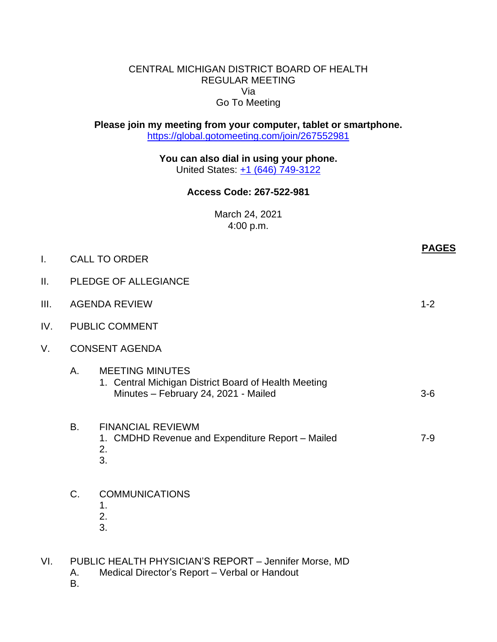## CENTRAL MICHIGAN DISTRICT BOARD OF HEALTH REGULAR MEETING Via Go To Meeting

**Please join my meeting from your computer, tablet or smartphone.** <https://global.gotomeeting.com/join/267552981>

> **You can also dial in using your phone.** United States: [+1 \(646\) 749-3122](tel:+16467493122,,267552981)

## **Access Code: 267-522-981**

March 24, 2021 4:00 p.m.

|      |                       |                                                                                                                        | <b>PAGES</b> |  |
|------|-----------------------|------------------------------------------------------------------------------------------------------------------------|--------------|--|
| I.   | <b>CALL TO ORDER</b>  |                                                                                                                        |              |  |
| ΙΙ.  |                       | PLEDGE OF ALLEGIANCE                                                                                                   |              |  |
| III. | <b>AGENDA REVIEW</b>  |                                                                                                                        | $1 - 2$      |  |
| IV.  | <b>PUBLIC COMMENT</b> |                                                                                                                        |              |  |
| V.   |                       | <b>CONSENT AGENDA</b>                                                                                                  |              |  |
|      | Α.                    | <b>MEETING MINUTES</b><br>1. Central Michigan District Board of Health Meeting<br>Minutes - February 24, 2021 - Mailed | $3-6$        |  |
|      | <b>B.</b>             | <b>FINANCIAL REVIEWM</b><br>1. CMDHD Revenue and Expenditure Report - Mailed<br>2.<br>3.                               | $7 - 9$      |  |
|      | C.                    | <b>COMMUNICATIONS</b><br>1.<br>2.<br>3.                                                                                |              |  |
| VI.  | А.                    | PUBLIC HEALTH PHYSICIAN'S REPORT - Jennifer Morse, MD<br>Medical Director's Report - Verbal or Handout                 |              |  |

B.